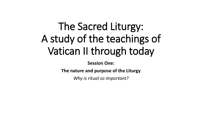# The Sacred Liturgy: A study of the teachings of Vatican II through today

**Session One:**

**The nature and purpose of the Liturgy**

*Why is ritual so important?*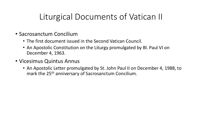# Liturgical Documents of Vatican II

- Sacrosanctum Concilium
	- The first document issued in the Second Vatican Council.
	- An Apostolic Constitution on the Liturgy promulgated by Bl. Paul VI on December 4, 1963.
- Vicesimus Quintus Annus
	- An Apostolic Letter promulgated by St. John Paul II on December 4, 1988, to mark the 25<sup>th</sup> anniversary of Sacrosanctum Concilium.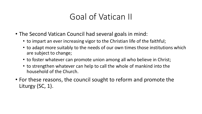#### Goal of Vatican II

- The Second Vatican Council had several goals in mind:
	- to impart an ever increasing vigor to the Christian life of the faithful;
	- to adapt more suitably to the needs of our own times those institutions which are subject to change;
	- to foster whatever can promote union among all who believe in Christ;
	- to strengthen whatever can help to call the whole of mankind into the household of the Church.
- For these reasons, the council sought to reform and promote the Liturgy (SC, 1).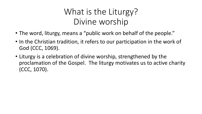# What is the Liturgy? Divine worship

- The word, liturgy, means a "public work on behalf of the people."
- In the Christian tradition, it refers to our participation in the work of God (CCC, 1069).
- Liturgy is a celebration of divine worship, strengthened by the proclamation of the Gospel. The liturgy motivates us to active charity (CCC, 1070).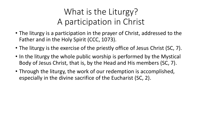# What is the Liturgy? A participation in Christ

- The liturgy is a participation in the prayer of Christ, addressed to the Father and in the Holy Spirit (CCC, 1073).
- The liturgy is the exercise of the priestly office of Jesus Christ (SC, 7).
- In the liturgy the whole public worship is performed by the Mystical Body of Jesus Christ, that is, by the Head and His members (SC, 7).
- Through the liturgy, the work of our redemption is accomplished, especially in the divine sacrifice of the Eucharist (SC, 2).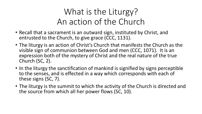# What is the Liturgy? An action of the Church

- Recall that a sacrament is an outward sign, instituted by Christ, and entrusted to the Church, to give grace (CCC, 1131).
- The liturgy is an action of Christ's Church that manifests the Church as the visible sign of communion between God and men (CCC, 1071). It is an expression both of the mystery of Christ and the real nature of the true Church (SC, 2).
- In the liturgy the sanctification of mankind is signified by signs perceptible to the senses, and is effected in a way which corresponds with each of these signs (SC, 7).
- The liturgy is the summit to which the activity of the Church is directed and the source from which all her power flows (SC, 10).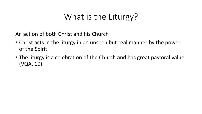# What is the Liturgy?

An action of both Christ and his Church

- Christ acts in the liturgy in an unseen but real manner by the power of the Spirit.
- The liturgy is a celebration of the Church and has great pastoral value (VQA, 10).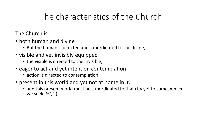# The characteristics of the Church

The Church is:

- both human and divine
	- But the human is directed and subordinated to the divine,
- visible and yet invisibly equipped
	- the visible is directed to the invisible,
- eager to act and yet intent on contemplation
	- action is directed to contemplation,
- present in this world and yet not at home in it.
	- and this present world must be subordinated to that city yet to come, which we seek (SC, 2).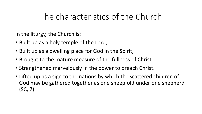#### The characteristics of the Church

In the liturgy, the Church is:

- Built up as a holy temple of the Lord,
- Built up as a dwelling place for God in the Spirit,
- Brought to the mature measure of the fullness of Christ.
- Strengthened marvelously in the power to preach Christ.
- Lifted up as a sign to the nations by which the scattered children of God may be gathered together as one sheepfold under one shepherd (SC, 2).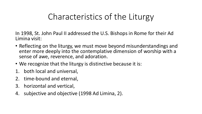# Characteristics of the Liturgy

In 1998, St. John Paul II addressed the U.S. Bishops in Rome for their Ad Limina visit:

- Reflecting on the liturgy, we must move beyond misunderstandings and enter more deeply into the contemplative dimension of worship with a sense of awe, reverence, and adoration.
- We recognize that the liturgy is distinctive because it is:
- 1. both local and universal,
- 2. time-bound and eternal,
- 3. horizontal and vertical,
- 4. subjective and objective (1998 Ad Limina, 2).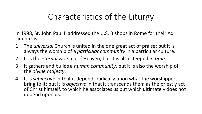# Characteristics of the Liturgy

In 1998, St. John Paul II addressed the U.S. Bishops in Rome for their Ad Limina visit:

- 1. The *universal* Church is united in the one great act of praise; but it is always the worship of a *particular community* in a particular culture.
- 2. It is the *eternal* worship of Heaven, but it is also steeped *in time*.
- 3. It gathers and builds a *human community*, but it is also the worship of the *divine majesty*.
- 4. It is *subjective* in that it depends radically upon what the worshippers bring to it; but it is *objective* in that it transcends them as the priestly act of Christ himself, to which he associates us but which ultimately does not depend upon us.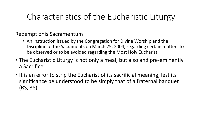### Characteristics of the Eucharistic Liturgy

Redemptionis Sacramentum

- An instruction issued by the Congregation for Divine Worship and the Discipline of the Sacraments on March 25, 2004, regarding certain matters to be observed or to be avoided regarding the Most Holy Eucharist
- The Eucharistic Liturgy is not only a meal, but also and pre-eminently a Sacrifice.
- It is an error to strip the Eucharist of its sacrificial meaning, lest its significance be understood to be simply that of a fraternal banquet (RS, 38).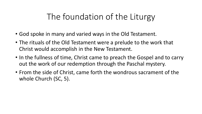# The foundation of the Liturgy

- God spoke in many and varied ways in the Old Testament.
- The rituals of the Old Testament were a prelude to the work that Christ would accomplish in the New Testament.
- In the fullness of time, Christ came to preach the Gospel and to carry out the work of our redemption through the Paschal mystery.
- From the side of Christ, came forth the wondrous sacrament of the whole Church (SC, 5).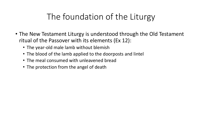# The foundation of the Liturgy

- The New Testament Liturgy is understood through the Old Testament ritual of the Passover with its elements (Ex 12):
	- The year-old male lamb without blemish
	- The blood of the lamb applied to the doorposts and lintel
	- The meal consumed with unleavened bread
	- The protection from the angel of death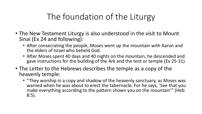# The foundation of the Liturgy

- The New Testament Liturgy is also understood in the visit to Mount Sinai (Ex 24 and following):
	- After consecrating the people, Moses went up the mountain with Aaron and the elders of Israel who beheld God.
	- After Moses spent 40 days and 40 nights on the mountain, he descended and gave instructions for the building of the Ark and the tent or temple (Ex 25-31).
- The Letter to the Hebrews describes the temple as a copy of the heavenly temple:
	- "They worship in a copy and shadow of the heavenly sanctuary, as Moses was warned when he was about to erect the tabernacle. For he says, 'See that you make everything according to the pattern shown you on the mountain'" (Heb 8:5).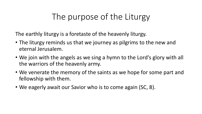# The purpose of the Liturgy

The earthly liturgy is a foretaste of the heavenly liturgy.

- The liturgy reminds us that we journey as pilgrims to the new and eternal Jerusalem.
- We join with the angels as we sing a hymn to the Lord's glory with all the warriors of the heavenly army.
- We venerate the memory of the saints as we hope for some part and fellowship with them.
- We eagerly await our Savior who is to come again (SC, 8).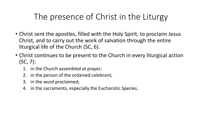- Christ sent the apostles, filled with the Holy Spirit, to proclaim Jesus Christ, and to carry out the work of salvation through the entire liturgical life of the Church (SC, 6).
- Christ continues to be present to the Church in every liturgical action (SC, 7):
	- 1. in the Church assembled at prayer;
	- 2. in the person of the ordained celebrant;
	- 3. in the word proclaimed;
	- 4. in the sacraments, especially the Eucharistic Species.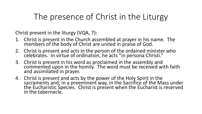Christ present in the liturgy (VQA, 7):

- 1. Christ is present in the Church assembled at prayer in his name. The members of the body of Christ are united in praise of God.
- 2. Christ is present and acts in the person of the ordained minister who celebrates. In virtue of ordination, he acts "in persona Christi."
- 3. Christ is present in his word as proclaimed in the assembly and commented upon in the homily. The word must be received with faith and assimilated in prayer.
- 4. Christ is present and acts by the power of the Holy Spirit in the sacraments and, in a preeminent way, in the Sacrifice of the Mass under the Eucharistic Species. Christ is present when the Eucharist is reserved in the tabernacle.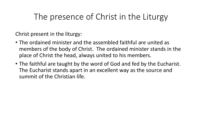Christ present in the liturgy:

- The ordained minister and the assembled faithful are united as members of the body of Christ. The ordained minister stands in the place of Christ the head, always united to his members.
- The faithful are taught by the word of God and fed by the Eucharist. The Eucharist stands apart in an excellent way as the source and summit of the Christian life.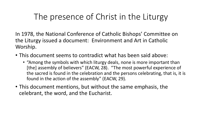In 1978, the National Conference of Catholic Bishops' Committee on the Liturgy issued a document: Environment and Art in Catholic Worship.

- This document seems to contradict what has been said above:
	- "Among the symbols with which liturgy deals, none is more important than [the] assembly of believers" (EACW, 28). "The most powerful experience of the sacred is found in the celebration and the persons celebrating, that is, it is found in the action of the assembly" (EACW, 29).
- This document mentions, but without the same emphasis, the celebrant, the word, and the Eucharist.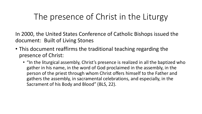In 2000, the United States Conference of Catholic Bishops issued the document: Built of Living Stones

- This document reaffirms the traditional teaching regarding the presence of Christ:
	- "In the liturgical assembly, Christ's presence is realized in all the baptized who gather in his name, in the word of God proclaimed in the assembly, in the person of the priest through whom Christ offers himself to the Father and gathers the assembly, in sacramental celebrations, and especially, in the Sacrament of his Body and Blood" (BLS, 22).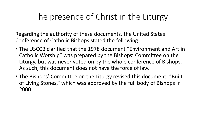Regarding the authority of these documents, the United States Conference of Catholic Bishops stated the following:

- The USCCB clarified that the 1978 document "Environment and Art in Catholic Worship" was prepared by the Bishops' Committee on the Liturgy, but was never voted on by the whole conference of Bishops. As such, this document does not have the force of law.
- The Bishops' Committee on the Liturgy revised this document, "Built of Living Stones," which was approved by the full body of Bishops in 2000.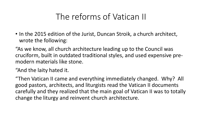#### The reforms of Vatican II

• In the 2015 edition of the Jurist, Duncan Stroik, a church architect, wrote the following:

"As we know, all church architecture leading up to the Council was cruciform, built in outdated traditional styles, and used expensive premodern materials like stone.

"And the laity hated it.

"Then Vatican II came and everything immediately changed. Why? All good pastors, architects, and liturgists read the Vatican II documents carefully and they realized that the main goal of Vatican II was to totally change the liturgy and reinvent church architecture.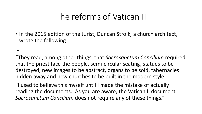#### The reforms of Vatican II

• In the 2015 edition of the Jurist, Duncan Stroik, a church architect, wrote the following:

…

"They read, among other things, that *Sacrosanctum Concilium* required that the priest face the people, semi-circular seating, statues to be destroyed, new images to be abstract, organs to be sold, tabernacles hidden away and new churches to be built in the modern style.

"I used to believe this myself until I made the mistake of actually reading the documents. As you are aware, the Vatican II document *Sacrosanctum Concilium* does not require any of these things."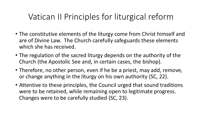- The constitutive elements of the liturgy come from Christ himself and are of Divine Law. The Church carefully safeguards these elements which she has received.
- The regulation of the sacred liturgy depends on the authority of the Church (the Apostolic See and, in certain cases, the bishop).
- Therefore, no other person, even if he be a priest, may add, remove, or change anything in the liturgy on his own authority (SC, 22).
- Attentive to these principles, the Council urged that sound traditions were to be retained, while remaining open to legitimate progress. Changes were to be carefully studied (SC, 23).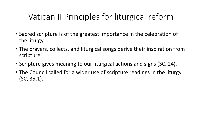- Sacred scripture is of the greatest importance in the celebration of the liturgy.
- The prayers, collects, and liturgical songs derive their inspiration from scripture.
- Scripture gives meaning to our liturgical actions and signs (SC, 24).
- The Council called for a wider use of scripture readings in the liturgy (SC, 35.1).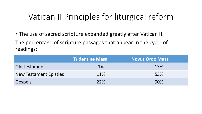• The use of sacred scripture expanded greatly after Vatican II.

The percentage of scripture passages that appear in the cycle of readings:

|                               | <b>Tridentine Mass</b> | Novus Ordo Mass |
|-------------------------------|------------------------|-----------------|
| Old Testament                 | $1\%$                  | 13%             |
| <b>New Testament Epistles</b> | 11%                    | 55%             |
| Gospels                       | 22%                    | 90%             |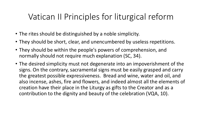- The rites should be distinguished by a noble simplicity.
- They should be short, clear, and unencumbered by useless repetitions.
- They should be within the people's powers of comprehension, and normally should not require much explanation (SC, 34).
- The desired simplicity must not degenerate into an impoverishment of the signs. On the contrary, sacramental signs must be easily grasped and carry the greatest possible expressiveness. Bread and wine, water and oil, and also incense, ashes, fire and flowers, and indeed almost all the elements of creation have their place in the Liturgy as gifts to the Creator and as a contribution to the dignity and beauty of the celebration (VQA, 10).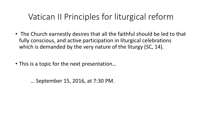- The Church earnestly desires that all the faithful should be led to that fully conscious, and active participation in liturgical celebrations which is demanded by the very nature of the liturgy (SC, 14).
- This is a topic for the next presentation…

… September 15, 2016, at 7:30 PM.